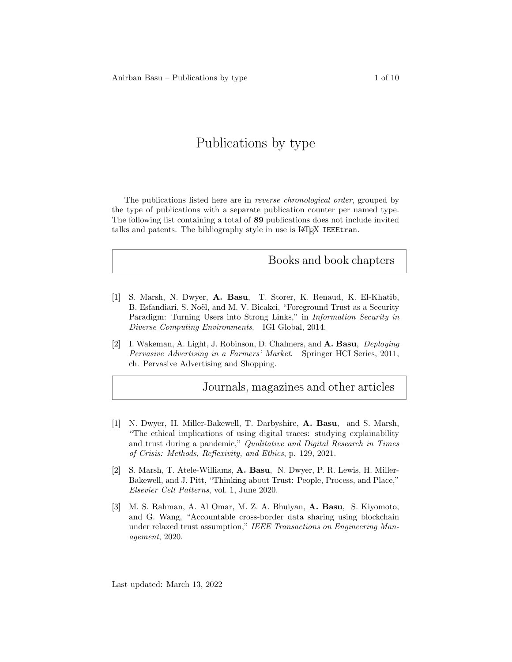# Publications by type

The publications listed here are in reverse chronological order, grouped by the type of publications with a separate publication counter per named type. The following list containing a total of 89 publications does not include invited talks and patents. The bibliography style in use is L<sup>AT</sup>EX IEEEtran.

### Books and book chapters

- [1] S. Marsh, N. Dwyer, A. Basu, T. Storer, K. Renaud, K. El-Khatib, B. Esfandiari, S. Noël, and M. V. Bicakci, "Foreground Trust as a Security Paradigm: Turning Users into Strong Links," in Information Security in Diverse Computing Environments. IGI Global, 2014.
- [2] I. Wakeman, A. Light, J. Robinson, D. Chalmers, and A. Basu, Deploying Pervasive Advertising in a Farmers' Market. Springer HCI Series, 2011, ch. Pervasive Advertising and Shopping.

## Journals, magazines and other articles

- [1] N. Dwyer, H. Miller-Bakewell, T. Darbyshire, A. Basu, and S. Marsh, "The ethical implications of using digital traces: studying explainability and trust during a pandemic," Qualitative and Digital Research in Times of Crisis: Methods, Reflexivity, and Ethics, p. 129, 2021.
- [2] S. Marsh, T. Atele-Williams, A. Basu, N. Dwyer, P. R. Lewis, H. Miller-Bakewell, and J. Pitt, "Thinking about Trust: People, Process, and Place," Elsevier Cell Patterns, vol. 1, June 2020.
- [3] M. S. Rahman, A. Al Omar, M. Z. A. Bhuiyan, A. Basu, S. Kiyomoto, and G. Wang, "Accountable cross-border data sharing using blockchain under relaxed trust assumption," IEEE Transactions on Engineering Management, 2020.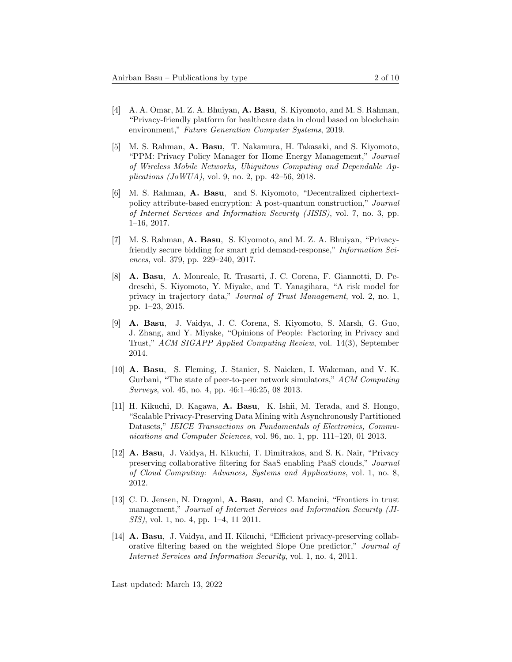- [4] A. A. Omar, M. Z. A. Bhuiyan, A. Basu, S. Kiyomoto, and M. S. Rahman, "Privacy-friendly platform for healthcare data in cloud based on blockchain environment," Future Generation Computer Systems, 2019.
- [5] M. S. Rahman, A. Basu, T. Nakamura, H. Takasaki, and S. Kiyomoto, "PPM: Privacy Policy Manager for Home Energy Management," Journal of Wireless Mobile Networks, Ubiquitous Computing and Dependable Applications  $(JoWUA)$ , vol. 9, no. 2, pp. 42–56, 2018.
- [6] M. S. Rahman, A. Basu, and S. Kiyomoto, "Decentralized ciphertextpolicy attribute-based encryption: A post-quantum construction," Journal of Internet Services and Information Security (JISIS), vol. 7, no. 3, pp. 1–16, 2017.
- [7] M. S. Rahman, A. Basu, S. Kiyomoto, and M. Z. A. Bhuiyan, "Privacyfriendly secure bidding for smart grid demand-response," Information Sciences, vol. 379, pp. 229–240, 2017.
- [8] A. Basu, A. Monreale, R. Trasarti, J. C. Corena, F. Giannotti, D. Pedreschi, S. Kiyomoto, Y. Miyake, and T. Yanagihara, "A risk model for privacy in trajectory data," Journal of Trust Management, vol. 2, no. 1, pp. 1–23, 2015.
- [9] A. Basu, J. Vaidya, J. C. Corena, S. Kiyomoto, S. Marsh, G. Guo, J. Zhang, and Y. Miyake, "Opinions of People: Factoring in Privacy and Trust," ACM SIGAPP Applied Computing Review, vol. 14(3), September 2014.
- [10] A. Basu, S. Fleming, J. Stanier, S. Naicken, I. Wakeman, and V. K. Gurbani, "The state of peer-to-peer network simulators," ACM Computing Surveys, vol. 45, no. 4, pp. 46:1–46:25, 08 2013.
- [11] H. Kikuchi, D. Kagawa, A. Basu, K. Ishii, M. Terada, and S. Hongo, "Scalable Privacy-Preserving Data Mining with Asynchronously Partitioned Datasets," IEICE Transactions on Fundamentals of Electronics, Communications and Computer Sciences, vol. 96, no. 1, pp. 111–120, 01 2013.
- [12] A. Basu, J. Vaidya, H. Kikuchi, T. Dimitrakos, and S. K. Nair, "Privacy preserving collaborative filtering for SaaS enabling PaaS clouds," Journal of Cloud Computing: Advances, Systems and Applications, vol. 1, no. 8, 2012.
- [13] C. D. Jensen, N. Dragoni, A. Basu, and C. Mancini, "Frontiers in trust management," Journal of Internet Services and Information Security (JI-SIS), vol. 1, no. 4, pp. 1–4, 11 2011.
- [14] A. Basu, J. Vaidya, and H. Kikuchi, "Efficient privacy-preserving collaborative filtering based on the weighted Slope One predictor," Journal of Internet Services and Information Security, vol. 1, no. 4, 2011.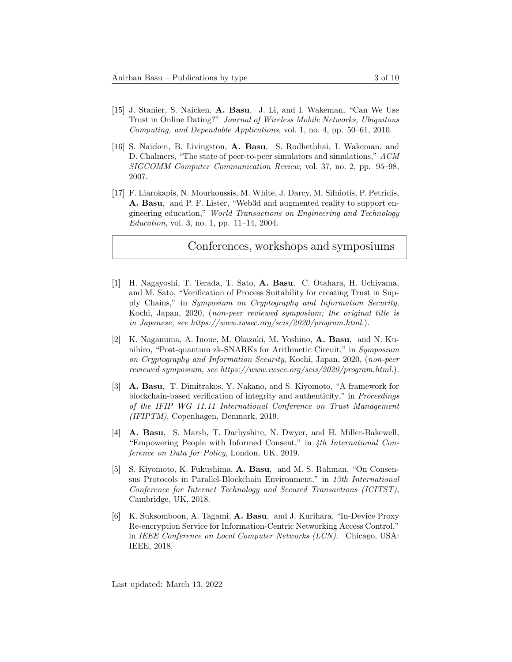- [15] J. Stanier, S. Naicken, A. Basu, J. Li, and I. Wakeman, "Can We Use Trust in Online Dating?" Journal of Wireless Mobile Networks, Ubiquitous Computing, and Dependable Applications, vol. 1, no. 4, pp. 50–61, 2010.
- [16] S. Naicken, B. Livingston, A. Basu, S. Rodhetbhai, I. Wakeman, and D. Chalmers, "The state of peer-to-peer simulators and simulations," ACM SIGCOMM Computer Communication Review, vol. 37, no. 2, pp. 95–98, 2007.
- [17] F. Liarokapis, N. Mourkoussis, M. White, J. Darcy, M. Sifniotis, P. Petridis, A. Basu, and P. F. Lister, "Web3d and augmented reality to support engineering education," World Transactions on Engineering and Technology Education, vol. 3, no. 1, pp. 11–14, 2004.

#### Conferences, workshops and symposiums

- [1] H. Nagayoshi, T. Terada, T. Sato, A. Basu, C. Otahara, H. Uchiyama, and M. Sato, "Verification of Process Suitability for creating Trust in Supply Chains," in Symposium on Cryptography and Information Security, Kochi, Japan, 2020, (non-peer reviewed symposium; the original title is in Japanese, see https://www.iwsec.org/scis/2020/program.html.).
- [2] K. Naganuma, A. Inoue, M. Okazaki, M. Yoshino, A. Basu, and N. Kunihiro, "Post-quantum zk-SNARKs for Arithmetic Circuit," in Symposium on Cryptography and Information Security, Kochi, Japan, 2020, (non-peer reviewed symposium, see https://www.iwsec.org/scis/2020/program.html.).
- [3] A. Basu, T. Dimitrakos, Y. Nakano, and S. Kiyomoto, "A framework for blockchain-based verification of integrity and authenticity," in Proceedings of the IFIP WG 11.11 International Conference on Trust Management (IFIPTM), Copenhagen, Denmark, 2019.
- [4] A. Basu, S. Marsh, T. Darbyshire, N. Dwyer, and H. Miller-Bakewell, "Empowering People with Informed Consent," in 4th International Conference on Data for Policy, London, UK, 2019.
- [5] S. Kiyomoto, K. Fukushima, A. Basu, and M. S. Rahman, "On Consensus Protocols in Parallel-Blockchain Environment," in 13th International Conference for Internet Technology and Secured Transactions (ICITST), Cambridge, UK, 2018.
- [6] K. Suksomboon, A. Tagami, A. Basu, and J. Kurihara, "In-Device Proxy Re-encryption Service for Information-Centric Networking Access Control," in IEEE Conference on Local Computer Networks (LCN). Chicago, USA: IEEE, 2018.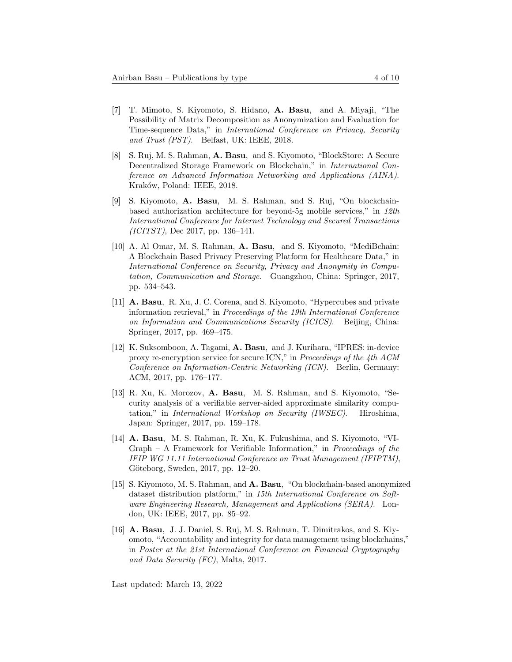- [7] T. Mimoto, S. Kiyomoto, S. Hidano, A. Basu, and A. Miyaji, "The Possibility of Matrix Decomposition as Anonymization and Evaluation for Time-sequence Data," in International Conference on Privacy, Security and Trust (PST). Belfast, UK: IEEE, 2018.
- [8] S. Ruj, M. S. Rahman, A. Basu, and S. Kiyomoto, "BlockStore: A Secure Decentralized Storage Framework on Blockchain," in International Conference on Advanced Information Networking and Applications (AINA). Kraków, Poland: IEEE, 2018.
- [9] S. Kiyomoto, A. Basu, M. S. Rahman, and S. Ruj, "On blockchainbased authorization architecture for beyond-5g mobile services," in 12th International Conference for Internet Technology and Secured Transactions (ICITST), Dec 2017, pp. 136–141.
- [10] A. Al Omar, M. S. Rahman, A. Basu, and S. Kiyomoto, "MediBchain: A Blockchain Based Privacy Preserving Platform for Healthcare Data," in International Conference on Security, Privacy and Anonymity in Computation, Communication and Storage. Guangzhou, China: Springer, 2017, pp. 534–543.
- [11] A. Basu, R. Xu, J. C. Corena, and S. Kiyomoto, "Hypercubes and private information retrieval," in Proceedings of the 19th International Conference on Information and Communications Security (ICICS). Beijing, China: Springer, 2017, pp. 469–475.
- [12] K. Suksomboon, A. Tagami, A. Basu, and J. Kurihara, "IPRES: in-device proxy re-encryption service for secure ICN," in Proceedings of the 4th ACM Conference on Information-Centric Networking (ICN). Berlin, Germany: ACM, 2017, pp. 176–177.
- [13] R. Xu, K. Morozov, A. Basu, M. S. Rahman, and S. Kiyomoto, "Security analysis of a verifiable server-aided approximate similarity computation," in International Workshop on Security (IWSEC). Hiroshima, Japan: Springer, 2017, pp. 159–178.
- [14] A. Basu, M. S. Rahman, R. Xu, K. Fukushima, and S. Kiyomoto, "VI-Graph – A Framework for Verifiable Information," in Proceedings of the IFIP WG 11.11 International Conference on Trust Management (IFIPTM), Göteborg, Sweden, 2017, pp. 12-20.
- [15] S. Kiyomoto, M. S. Rahman, and A. Basu, "On blockchain-based anonymized dataset distribution platform," in 15th International Conference on Software Engineering Research, Management and Applications (SERA). London, UK: IEEE, 2017, pp. 85–92.
- [16] A. Basu, J. J. Daniel, S. Ruj, M. S. Rahman, T. Dimitrakos, and S. Kiyomoto, "Accountability and integrity for data management using blockchains," in Poster at the 21st International Conference on Financial Cryptography and Data Security (FC), Malta, 2017.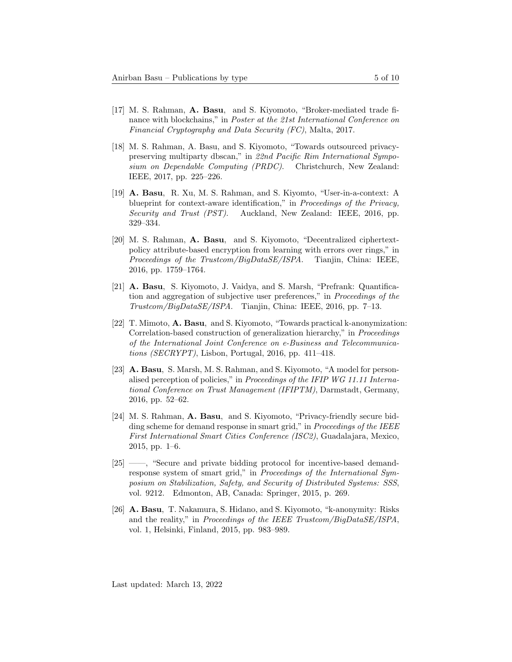- [17] M. S. Rahman, A. Basu, and S. Kiyomoto, "Broker-mediated trade finance with blockchains," in Poster at the 21st International Conference on Financial Cryptography and Data Security (FC), Malta, 2017.
- [18] M. S. Rahman, A. Basu, and S. Kiyomoto, "Towards outsourced privacypreserving multiparty dbscan," in 22nd Pacific Rim International Symposium on Dependable Computing (PRDC). Christchurch, New Zealand: IEEE, 2017, pp. 225–226.
- [19] A. Basu, R. Xu, M. S. Rahman, and S. Kiyomto, "User-in-a-context: A blueprint for context-aware identification," in Proceedings of the Privacy, Security and Trust (PST). Auckland, New Zealand: IEEE, 2016, pp. 329–334.
- [20] M. S. Rahman, A. Basu, and S. Kiyomoto, "Decentralized ciphertextpolicy attribute-based encryption from learning with errors over rings," in Proceedings of the Trustcom/BigDataSE/ISPA. Tianjin, China: IEEE, 2016, pp. 1759–1764.
- [21] A. Basu, S. Kiyomoto, J. Vaidya, and S. Marsh, "Prefrank: Quantification and aggregation of subjective user preferences," in Proceedings of the Trustcom/BigDataSE/ISPA. Tianjin, China: IEEE, 2016, pp. 7–13.
- [22] T. Mimoto, A. Basu, and S. Kiyomoto, "Towards practical k-anonymization: Correlation-based construction of generalization hierarchy," in Proceedings of the International Joint Conference on e-Business and Telecommunications (SECRYPT), Lisbon, Portugal, 2016, pp. 411–418.
- [23] A. Basu, S. Marsh, M. S. Rahman, and S. Kiyomoto, "A model for personalised perception of policies," in Proceedings of the IFIP WG 11.11 International Conference on Trust Management (IFIPTM), Darmstadt, Germany, 2016, pp. 52–62.
- [24] M. S. Rahman, A. Basu, and S. Kiyomoto, "Privacy-friendly secure bidding scheme for demand response in smart grid," in *Proceedings of the IEEE* First International Smart Cities Conference (ISC2), Guadalajara, Mexico, 2015, pp. 1–6.
- [25] ——, "Secure and private bidding protocol for incentive-based demandresponse system of smart grid," in Proceedings of the International Symposium on Stabilization, Safety, and Security of Distributed Systems: SSS, vol. 9212. Edmonton, AB, Canada: Springer, 2015, p. 269.
- [26] A. Basu, T. Nakamura, S. Hidano, and S. Kiyomoto, "k-anonymity: Risks and the reality," in Proceedings of the IEEE Trustcom/BigDataSE/ISPA, vol. 1, Helsinki, Finland, 2015, pp. 983–989.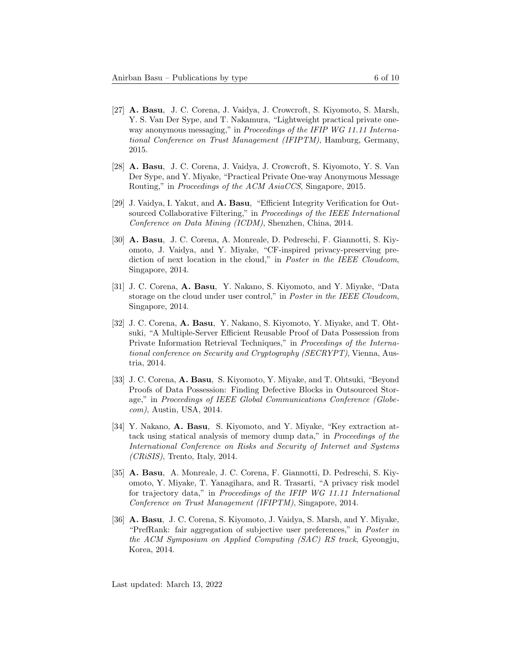- [27] A. Basu, J. C. Corena, J. Vaidya, J. Crowcroft, S. Kiyomoto, S. Marsh, Y. S. Van Der Sype, and T. Nakamura, "Lightweight practical private oneway anonymous messaging," in Proceedings of the IFIP WG 11.11 International Conference on Trust Management (IFIPTM), Hamburg, Germany, 2015.
- [28] A. Basu, J. C. Corena, J. Vaidya, J. Crowcroft, S. Kiyomoto, Y. S. Van Der Sype, and Y. Miyake, "Practical Private One-way Anonymous Message Routing," in Proceedings of the ACM AsiaCCS, Singapore, 2015.
- [29] J. Vaidya, I. Yakut, and A. Basu, "Efficient Integrity Verification for Outsourced Collaborative Filtering," in Proceedings of the IEEE International Conference on Data Mining (ICDM), Shenzhen, China, 2014.
- [30] A. Basu, J. C. Corena, A. Monreale, D. Pedreschi, F. Giannotti, S. Kiyomoto, J. Vaidya, and Y. Miyake, "CF-inspired privacy-preserving prediction of next location in the cloud," in *Poster in the IEEE Cloudcom*, Singapore, 2014.
- [31] J. C. Corena, A. Basu, Y. Nakano, S. Kiyomoto, and Y. Miyake, "Data storage on the cloud under user control," in Poster in the IEEE Cloudcom, Singapore, 2014.
- [32] J. C. Corena, A. Basu, Y. Nakano, S. Kiyomoto, Y. Miyake, and T. Ohtsuki, "A Multiple-Server Efficient Reusable Proof of Data Possession from Private Information Retrieval Techniques," in Proceedings of the International conference on Security and Cryptography (SECRYPT), Vienna, Austria, 2014.
- [33] J. C. Corena, A. Basu, S. Kiyomoto, Y. Miyake, and T. Ohtsuki, "Beyond Proofs of Data Possession: Finding Defective Blocks in Outsourced Storage," in Proceedings of IEEE Global Communications Conference (Globecom), Austin, USA, 2014.
- [34] Y. Nakano, A. Basu, S. Kiyomoto, and Y. Miyake, "Key extraction attack using statical analysis of memory dump data," in Proceedings of the International Conference on Risks and Security of Internet and Systems  $CRiSIS$ , Trento, Italy, 2014.
- [35] A. Basu, A. Monreale, J. C. Corena, F. Giannotti, D. Pedreschi, S. Kiyomoto, Y. Miyake, T. Yanagihara, and R. Trasarti, "A privacy risk model for trajectory data," in Proceedings of the IFIP WG 11.11 International Conference on Trust Management (IFIPTM), Singapore, 2014.
- [36] A. Basu, J. C. Corena, S. Kiyomoto, J. Vaidya, S. Marsh, and Y. Miyake, "PrefRank: fair aggregation of subjective user preferences," in Poster in the ACM Symposium on Applied Computing (SAC) RS track, Gyeongju, Korea, 2014.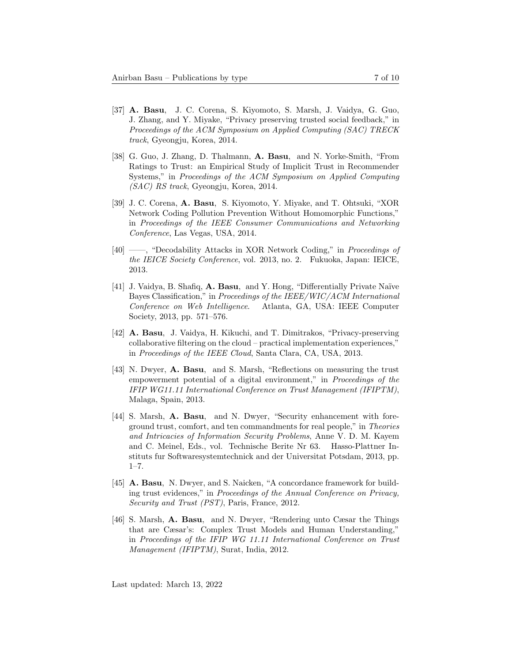- [37] A. Basu, J. C. Corena, S. Kiyomoto, S. Marsh, J. Vaidya, G. Guo, J. Zhang, and Y. Miyake, "Privacy preserving trusted social feedback," in Proceedings of the ACM Symposium on Applied Computing (SAC) TRECK track, Gyeongju, Korea, 2014.
- [38] G. Guo, J. Zhang, D. Thalmann, A. Basu, and N. Yorke-Smith, "From Ratings to Trust: an Empirical Study of Implicit Trust in Recommender Systems," in Proceedings of the ACM Symposium on Applied Computing (SAC) RS track, Gyeongju, Korea, 2014.
- [39] J. C. Corena, A. Basu, S. Kiyomoto, Y. Miyake, and T. Ohtsuki, "XOR Network Coding Pollution Prevention Without Homomorphic Functions," in Proceedings of the IEEE Consumer Communications and Networking Conference, Las Vegas, USA, 2014.
- [40] ——, "Decodability Attacks in XOR Network Coding," in Proceedings of the IEICE Society Conference, vol. 2013, no. 2. Fukuoka, Japan: IEICE, 2013.
- [41] J. Vaidya, B. Shafiq, A. Basu, and Y. Hong, "Differentially Private Naïve Bayes Classification," in Proceedings of the IEEE/WIC/ACM International Conference on Web Intelligence. Atlanta, GA, USA: IEEE Computer Society, 2013, pp. 571–576.
- [42] A. Basu, J. Vaidya, H. Kikuchi, and T. Dimitrakos, "Privacy-preserving collaborative filtering on the cloud – practical implementation experiences," in Proceedings of the IEEE Cloud, Santa Clara, CA, USA, 2013.
- [43] N. Dwyer, A. Basu, and S. Marsh, "Reflections on measuring the trust empowerment potential of a digital environment," in Proceedings of the IFIP WG11.11 International Conference on Trust Management (IFIPTM), Malaga, Spain, 2013.
- [44] S. Marsh, A. Basu, and N. Dwyer, "Security enhancement with foreground trust, comfort, and ten commandments for real people," in Theories and Intricacies of Information Security Problems, Anne V. D. M. Kayem and C. Meinel, Eds., vol. Technische Berite Nr 63. Hasso-Plattner Instituts fur Softwaresystemtechnick and der Universitat Potsdam, 2013, pp.  $1 - 7$ .
- [45] **A. Basu**, N. Dwyer, and S. Naicken, "A concordance framework for building trust evidences," in Proceedings of the Annual Conference on Privacy, Security and Trust (PST), Paris, France, 2012.
- [46] S. Marsh, A. Basu, and N. Dwyer, "Rendering unto Cæsar the Things that are Cæsar's: Complex Trust Models and Human Understanding," in Proceedings of the IFIP WG 11.11 International Conference on Trust Management (IFIPTM), Surat, India, 2012.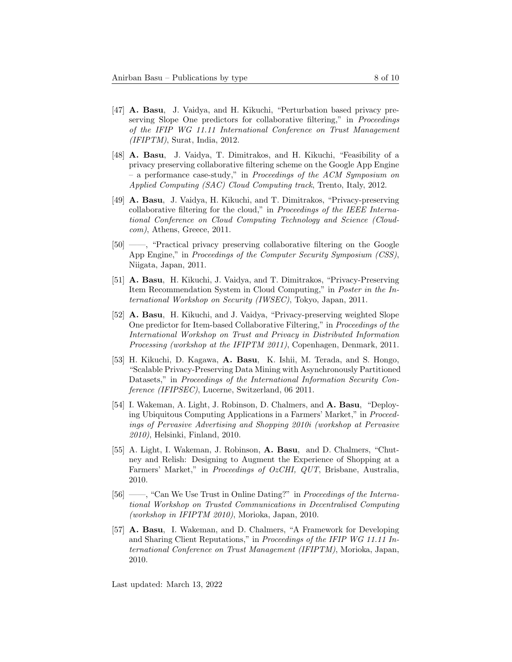- [47] A. Basu, J. Vaidya, and H. Kikuchi, "Perturbation based privacy preserving Slope One predictors for collaborative filtering," in *Proceedings* of the IFIP WG 11.11 International Conference on Trust Management  $(IFIPTM)$ , Surat, India, 2012.
- [48] A. Basu, J. Vaidya, T. Dimitrakos, and H. Kikuchi, "Feasibility of a privacy preserving collaborative filtering scheme on the Google App Engine – a performance case-study," in Proceedings of the ACM Symposium on Applied Computing (SAC) Cloud Computing track, Trento, Italy, 2012.
- [49] A. Basu, J. Vaidya, H. Kikuchi, and T. Dimitrakos, "Privacy-preserving collaborative filtering for the cloud," in Proceedings of the IEEE International Conference on Cloud Computing Technology and Science (Cloudcom), Athens, Greece, 2011.
- [50] ——, "Practical privacy preserving collaborative filtering on the Google App Engine," in *Proceedings of the Computer Security Symposium (CSS)*, Niigata, Japan, 2011.
- [51] A. Basu, H. Kikuchi, J. Vaidya, and T. Dimitrakos, "Privacy-Preserving Item Recommendation System in Cloud Computing," in Poster in the International Workshop on Security (IWSEC), Tokyo, Japan, 2011.
- [52] A. Basu, H. Kikuchi, and J. Vaidya, "Privacy-preserving weighted Slope One predictor for Item-based Collaborative Filtering," in Proceedings of the International Workshop on Trust and Privacy in Distributed Information Processing (workshop at the IFIPTM 2011), Copenhagen, Denmark, 2011.
- [53] H. Kikuchi, D. Kagawa, A. Basu, K. Ishii, M. Terada, and S. Hongo, "Scalable Privacy-Preserving Data Mining with Asynchronously Partitioned Datasets," in Proceedings of the International Information Security Conference (IFIPSEC), Lucerne, Switzerland, 06 2011.
- [54] I. Wakeman, A. Light, J. Robinson, D. Chalmers, and A. Basu, "Deploying Ubiquitous Computing Applications in a Farmers' Market," in Proceedings of Pervasive Advertising and Shopping 2010i (workshop at Pervasive 2010), Helsinki, Finland, 2010.
- [55] A. Light, I. Wakeman, J. Robinson, A. Basu, and D. Chalmers, "Chutney and Relish: Designing to Augment the Experience of Shopping at a Farmers' Market," in *Proceedings of OzCHI*, *QUT*, Brisbane, Australia, 2010.
- [56] ——, "Can We Use Trust in Online Dating?" in Proceedings of the International Workshop on Trusted Communications in Decentralised Computing (workshop in IFIPTM 2010), Morioka, Japan, 2010.
- [57] A. Basu, I. Wakeman, and D. Chalmers, "A Framework for Developing and Sharing Client Reputations," in Proceedings of the IFIP WG 11.11 International Conference on Trust Management (IFIPTM), Morioka, Japan, 2010.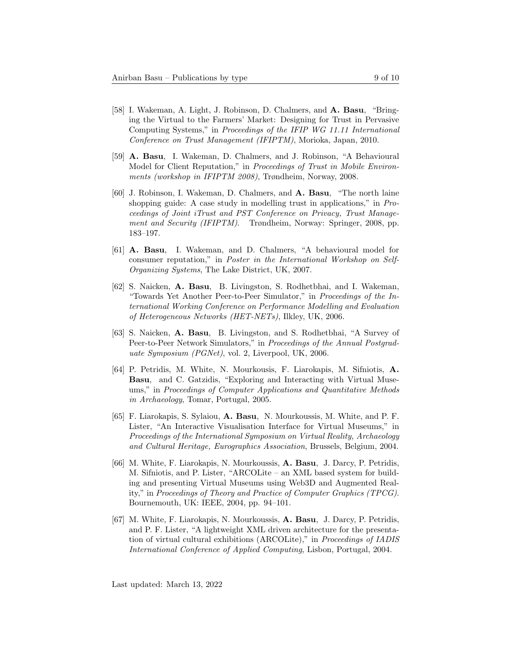- [58] I. Wakeman, A. Light, J. Robinson, D. Chalmers, and A. Basu, "Bringing the Virtual to the Farmers' Market: Designing for Trust in Pervasive Computing Systems," in Proceedings of the IFIP WG 11.11 International Conference on Trust Management (IFIPTM), Morioka, Japan, 2010.
- [59] A. Basu, I. Wakeman, D. Chalmers, and J. Robinson, "A Behavioural Model for Client Reputation," in Proceedings of Trust in Mobile Environments (workshop in IFIPTM 2008), Trøndheim, Norway, 2008.
- [60] J. Robinson, I. Wakeman, D. Chalmers, and A. Basu, "The north laine shopping guide: A case study in modelling trust in applications," in Proceedings of Joint iTrust and PST Conference on Privacy, Trust Management and Security (IFIPTM). Trøndheim, Norway: Springer, 2008, pp. 183–197.
- [61] A. Basu, I. Wakeman, and D. Chalmers, "A behavioural model for consumer reputation," in Poster in the International Workshop on Self-Organizing Systems, The Lake District, UK, 2007.
- [62] S. Naicken, A. Basu, B. Livingston, S. Rodhetbhai, and I. Wakeman, "Towards Yet Another Peer-to-Peer Simulator," in Proceedings of the International Working Conference on Performance Modelling and Evaluation of Heterogeneous Networks (HET-NETs), Ilkley, UK, 2006.
- [63] S. Naicken, A. Basu, B. Livingston, and S. Rodhetbhai, "A Survey of Peer-to-Peer Network Simulators," in Proceedings of the Annual Postgraduate Symposium (PGNet), vol. 2, Liverpool, UK, 2006.
- [64] P. Petridis, M. White, N. Mourkousis, F. Liarokapis, M. Sifniotis, A. Basu, and C. Gatzidis, "Exploring and Interacting with Virtual Museums," in Proceedings of Computer Applications and Quantitative Methods in Archaeology, Tomar, Portugal, 2005.
- [65] F. Liarokapis, S. Sylaiou, A. Basu, N. Mourkoussis, M. White, and P. F. Lister, "An Interactive Visualisation Interface for Virtual Museums," in Proceedings of the International Symposium on Virtual Reality, Archaeology and Cultural Heritage, Eurographics Association, Brussels, Belgium, 2004.
- [66] M. White, F. Liarokapis, N. Mourkoussis, A. Basu, J. Darcy, P. Petridis, M. Sifniotis, and P. Lister, "ARCOLite – an XML based system for building and presenting Virtual Museums using Web3D and Augmented Reality," in Proceedings of Theory and Practice of Computer Graphics (TPCG). Bournemouth, UK: IEEE, 2004, pp. 94–101.
- [67] M. White, F. Liarokapis, N. Mourkoussis, A. Basu, J. Darcy, P. Petridis, and P. F. Lister, "A lightweight XML driven architecture for the presentation of virtual cultural exhibitions (ARCOLite)," in Proceedings of IADIS International Conference of Applied Computing, Lisbon, Portugal, 2004.